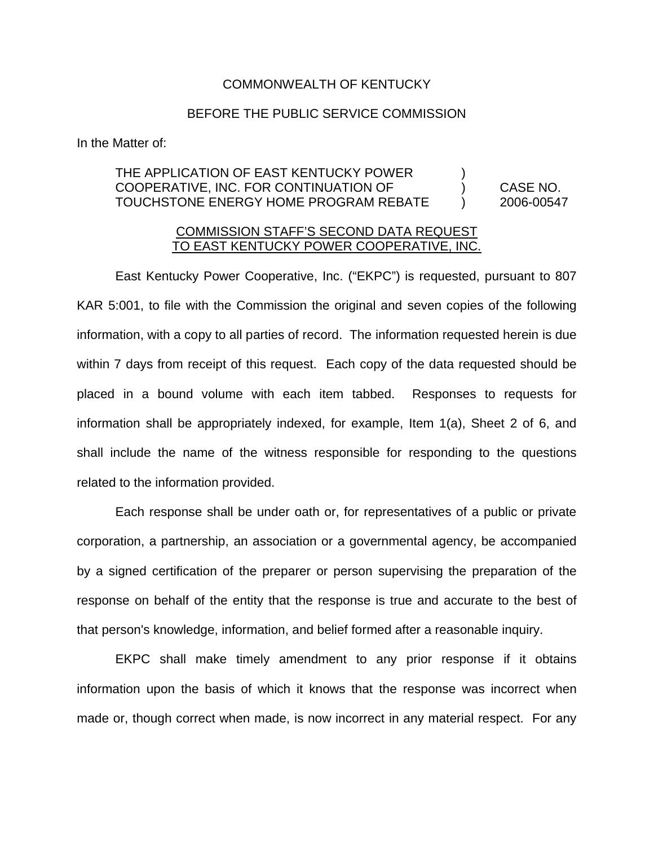## COMMONWEALTH OF KENTUCKY

## BEFORE THE PUBLIC SERVICE COMMISSION

In the Matter of:

## THE APPLICATION OF EAST KENTUCKY POWER  $\qquad \qquad$ ) COOPERATIVE, INC. FOR CONTINUATION OF ) CASE NO. TOUCHSTONE ENERGY HOME PROGRAM REBATE ) 2006-00547

## COMMISSION STAFF'S SECOND DATA REQUEST TO EAST KENTUCKY POWER COOPERATIVE, INC.

East Kentucky Power Cooperative, Inc. ("EKPC") is requested, pursuant to 807 KAR 5:001, to file with the Commission the original and seven copies of the following information, with a copy to all parties of record. The information requested herein is due within 7 days from receipt of this request. Each copy of the data requested should be placed in a bound volume with each item tabbed. Responses to requests for information shall be appropriately indexed, for example, Item 1(a), Sheet 2 of 6, and shall include the name of the witness responsible for responding to the questions related to the information provided.

Each response shall be under oath or, for representatives of a public or private corporation, a partnership, an association or a governmental agency, be accompanied by a signed certification of the preparer or person supervising the preparation of the response on behalf of the entity that the response is true and accurate to the best of that person's knowledge, information, and belief formed after a reasonable inquiry.

EKPC shall make timely amendment to any prior response if it obtains information upon the basis of which it knows that the response was incorrect when made or, though correct when made, is now incorrect in any material respect. For any